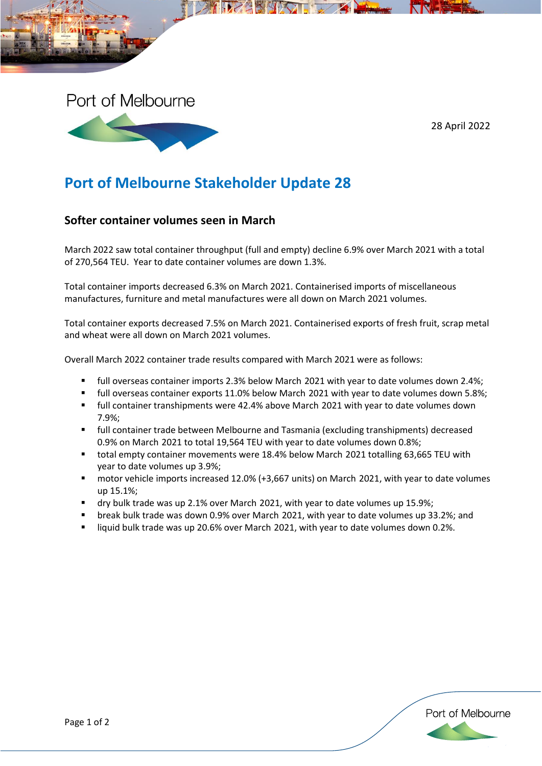

28 April 2022

## **Port of Melbourne Stakeholder Update 28**

## **Softer container volumes seen in March**

March 2022 saw total container throughput (full and empty) decline 6.9% over March 2021 with a total of 270,564 TEU. Year to date container volumes are down 1.3%.

Total container imports decreased 6.3% on March 2021. Containerised imports of miscellaneous manufactures, furniture and metal manufactures were all down on March 2021 volumes.

Total container exports decreased 7.5% on March 2021. Containerised exports of fresh fruit, scrap metal and wheat were all down on March 2021 volumes.

Overall March 2022 container trade results compared with March 2021 were as follows:

- full overseas container imports 2.3% below March 2021 with year to date volumes down 2.4%;
- full overseas container exports 11.0% below March 2021 with year to date volumes down 5.8%;
- full container transhipments were 42.4% above March 2021 with year to date volumes down 7.9%;
- full container trade between Melbourne and Tasmania (excluding transhipments) decreased 0.9% on March 2021 to total 19,564 TEU with year to date volumes down 0.8%;
- total empty container movements were 18.4% below March 2021 totalling 63,665 TEU with year to date volumes up 3.9%;
- motor vehicle imports increased 12.0% (+3,667 units) on March 2021, with year to date volumes up 15.1%;
- dry bulk trade was up 2.1% over March 2021, with year to date volumes up 15.9%;
- break bulk trade was down 0.9% over March 2021, with year to date volumes up 33.2%; and
- liquid bulk trade was up 20.6% over March 2021, with year to date volumes down 0.2%.